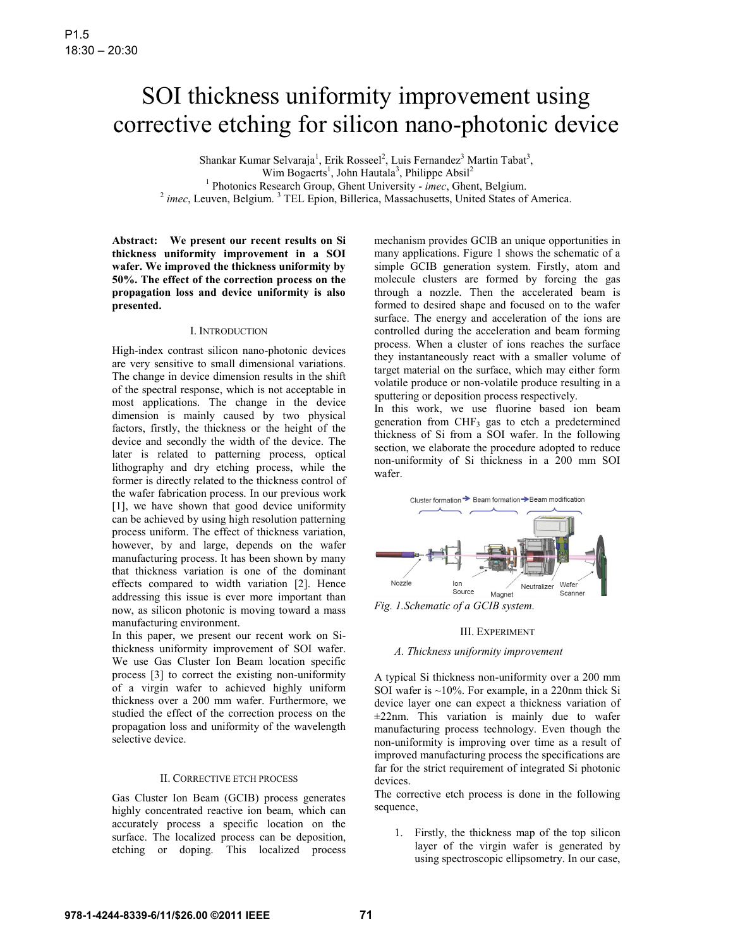# SOI thickness uniformity improvement using corrective etching for silicon nano-photonic device

Shankar Kumar Selvaraja<sup>1</sup>, Erik Rosseel<sup>2</sup>, Luis Fernandez<sup>3</sup> Martin Tabat<sup>3</sup>, Wim Bogaerts<sup>1</sup>, John Hautala<sup>3</sup>, Philippe Absil<sup>2</sup> <sup>1</sup> Photonics Research Group, Ghent University - *imec*, Ghent, Belgium. <sup>1</sup> Photonics Research Group, Ghent University - *imec*, Ghent, Belgium.<br><sup>2</sup> *imec*, Leuven, Belgium. <sup>3</sup> TEL Epion, Billerica, Massachusetts, United States of America.

**Abstract: We present our recent results on Si thickness uniformity improvement in a SOI wafer. We improved the thickness uniformity by 50%. The effect of the correction process on the propagation loss and device uniformity is also presented.** 

### I. INTRODUCTION

High-index contrast silicon nano-photonic devices are very sensitive to small dimensional variations. The change in device dimension results in the shift of the spectral response, which is not acceptable in most applications. The change in the device dimension is mainly caused by two physical factors, firstly, the thickness or the height of the device and secondly the width of the device. The later is related to patterning process, optical lithography and dry etching process, while the former is directly related to the thickness control of the wafer fabrication process. In our previous work [1], we have shown that good device uniformity can be achieved by using high resolution patterning process uniform. The effect of thickness variation, however, by and large, depends on the wafer manufacturing process. It has been shown by many that thickness variation is one of the dominant effects compared to width variation [2]. Hence addressing this issue is ever more important than now, as silicon photonic is moving toward a mass manufacturing environment.

In this paper, we present our recent work on Sithickness uniformity improvement of SOI wafer. We use Gas Cluster Ion Beam location specific process [3] to correct the existing non-uniformity of a virgin wafer to achieved highly uniform thickness over a 200 mm wafer. Furthermore, we studied the effect of the correction process on the propagation loss and uniformity of the wavelength selective device.

## II. CORRECTIVE ETCH PROCESS

Gas Cluster Ion Beam (GCIB) process generates highly concentrated reactive ion beam, which can accurately process a specific location on the surface. The localized process can be deposition, etching or doping. This localized process

mechanism provides GCIB an unique opportunities in many applications. Figure 1 shows the schematic of a simple GCIB generation system. Firstly, atom and molecule clusters are formed by forcing the gas through a nozzle. Then the accelerated beam is formed to desired shape and focused on to the wafer surface. The energy and acceleration of the ions are controlled during the acceleration and beam forming process. When a cluster of ions reaches the surface they instantaneously react with a smaller volume of target material on the surface, which may either form volatile produce or non-volatile produce resulting in a sputtering or deposition process respectively.

In this work, we use fluorine based ion beam generation from CHF3 gas to etch a predetermined thickness of Si from a SOI wafer. In the following section, we elaborate the procedure adopted to reduce non-uniformity of Si thickness in a 200 mm SOI wafer.



*Fig. 1.Schematic of a GCIB system.*

#### III. EXPERIMENT

# *A. Thickness uniformity improvement*

A typical Si thickness non-uniformity over a 200 mm SOI wafer is ~10%. For example, in a 220nm thick Si device layer one can expect a thickness variation of ±22nm. This variation is mainly due to wafer manufacturing process technology. Even though the non-uniformity is improving over time as a result of improved manufacturing process the specifications are far for the strict requirement of integrated Si photonic devices.

The corrective etch process is done in the following sequence,

1. Firstly, the thickness map of the top silicon layer of the virgin wafer is generated by using spectroscopic ellipsometry. In our case,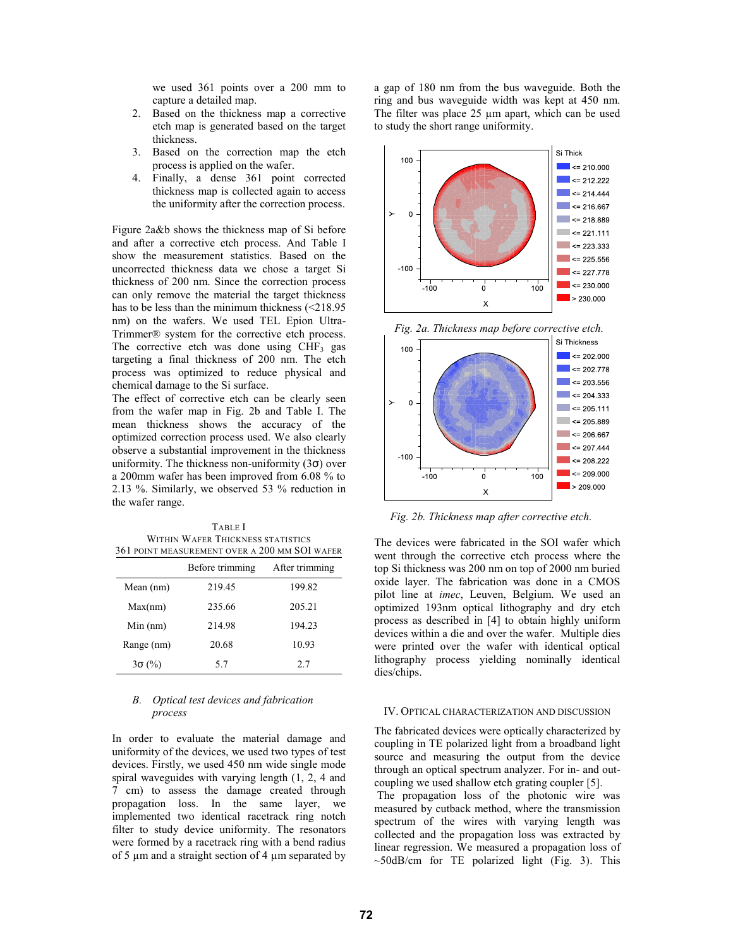we used 361 points over a 200 mm to capture a detailed map.

- 2. Based on the thickness map a corrective etch map is generated based on the target thickness.
- 3. Based on the correction map the etch process is applied on the wafer.
- 4. Finally, a dense 361 point corrected thickness map is collected again to access the uniformity after the correction process.

Figure 2a&b shows the thickness map of Si before and after a corrective etch process. And Table I show the measurement statistics. Based on the uncorrected thickness data we chose a target Si thickness of 200 nm. Since the correction process can only remove the material the target thickness has to be less than the minimum thickness (<218.95) nm) on the wafers. We used TEL Epion Ultra-Trimmer® system for the corrective etch process. The corrective etch was done using  $CHF<sub>3</sub>$  gas targeting a final thickness of 200 nm. The etch process was optimized to reduce physical and chemical damage to the Si surface.

The effect of corrective etch can be clearly seen from the wafer map in Fig. 2b and Table I. The mean thickness shows the accuracy of the optimized correction process used. We also clearly observe a substantial improvement in the thickness uniformity. The thickness non-uniformity  $(3\sigma)$  over a 200mm wafer has been improved from 6.08 % to 2.13 %. Similarly, we observed 53 % reduction in the wafer range.

| <b>TABLE</b> I                                |
|-----------------------------------------------|
| WITHIN WAFER THICKNESS STATISTICS             |
| 361 POINT MEASUREMENT OVER A 200 MM SOI WAFER |

|               | Before trimming | After trimming |
|---------------|-----------------|----------------|
| Mean (nm)     | 219.45          | 199.82         |
| Max(nm)       | 235.66          | 205.21         |
| $Min$ (nm)    | 214.98          | 194.23         |
| Range (nm)    | 20.68           | 10.93          |
| $3\sigma$ (%) | 5.7             | 2.7            |

# *B. Optical test devices and fabrication process*

In order to evaluate the material damage and uniformity of the devices, we used two types of test devices. Firstly, we used 450 nm wide single mode spiral waveguides with varying length (1, 2, 4 and 7 cm) to assess the damage created through propagation loss. In the same layer, we implemented two identical racetrack ring notch filter to study device uniformity. The resonators were formed by a racetrack ring with a bend radius of 5 µm and a straight section of 4 µm separated by a gap of 180 nm from the bus waveguide. Both the ring and bus waveguide width was kept at 450 nm. The filter was place 25  $\mu$ m apart, which can be used to study the short range uniformity.





*Fig. 2b. Thickness map after corrective etch.*

The devices were fabricated in the SOI wafer which went through the corrective etch process where the top Si thickness was 200 nm on top of 2000 nm buried oxide layer. The fabrication was done in a CMOS pilot line at *imec*, Leuven, Belgium. We used an optimized 193nm optical lithography and dry etch process as described in [4] to obtain highly uniform devices within a die and over the wafer. Multiple dies were printed over the wafer with identical optical lithography process yielding nominally identical dies/chips.

## IV. OPTICAL CHARACTERIZATION AND DISCUSSION

The fabricated devices were optically characterized by coupling in TE polarized light from a broadband light source and measuring the output from the device through an optical spectrum analyzer. For in- and outcoupling we used shallow etch grating coupler [5].

 The propagation loss of the photonic wire was measured by cutback method, where the transmission spectrum of the wires with varying length was collected and the propagation loss was extracted by linear regression. We measured a propagation loss of  $~50$ dB/cm for TE polarized light (Fig. 3). This